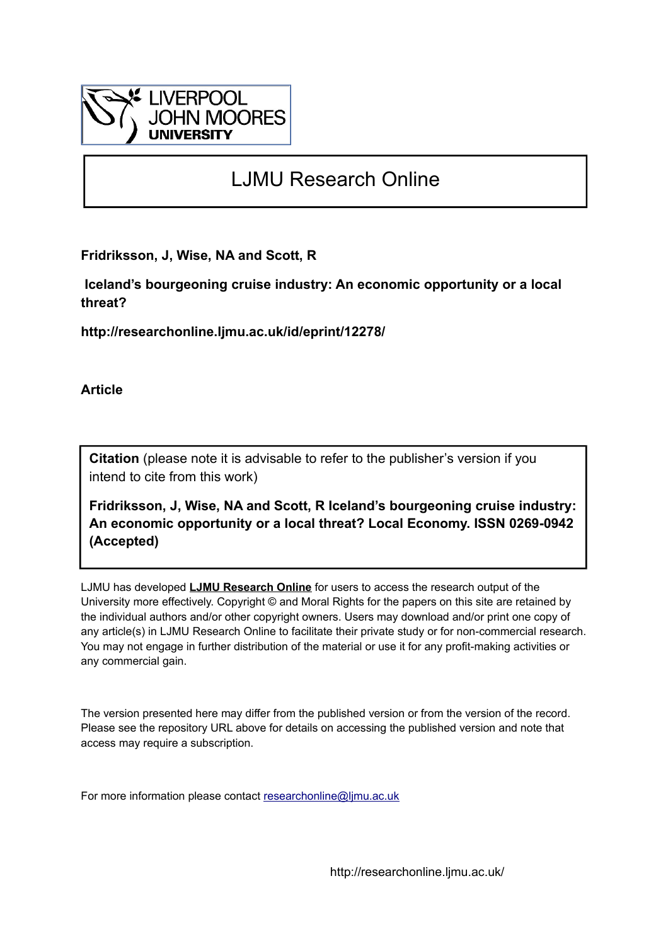

# LJMU Research Online

**Fridriksson, J, Wise, NA and Scott, R**

 **Iceland's bourgeoning cruise industry: An economic opportunity or a local threat?**

**http://researchonline.ljmu.ac.uk/id/eprint/12278/**

**Article**

**Citation** (please note it is advisable to refer to the publisher's version if you intend to cite from this work)

**Fridriksson, J, Wise, NA and Scott, R Iceland's bourgeoning cruise industry: An economic opportunity or a local threat? Local Economy. ISSN 0269-0942 (Accepted)** 

LJMU has developed **[LJMU Research Online](http://researchonline.ljmu.ac.uk/)** for users to access the research output of the University more effectively. Copyright © and Moral Rights for the papers on this site are retained by the individual authors and/or other copyright owners. Users may download and/or print one copy of any article(s) in LJMU Research Online to facilitate their private study or for non-commercial research. You may not engage in further distribution of the material or use it for any profit-making activities or any commercial gain.

The version presented here may differ from the published version or from the version of the record. Please see the repository URL above for details on accessing the published version and note that access may require a subscription.

For more information please contact [researchonline@ljmu.ac.uk](mailto:researchonline@ljmu.ac.uk)

http://researchonline.ljmu.ac.uk/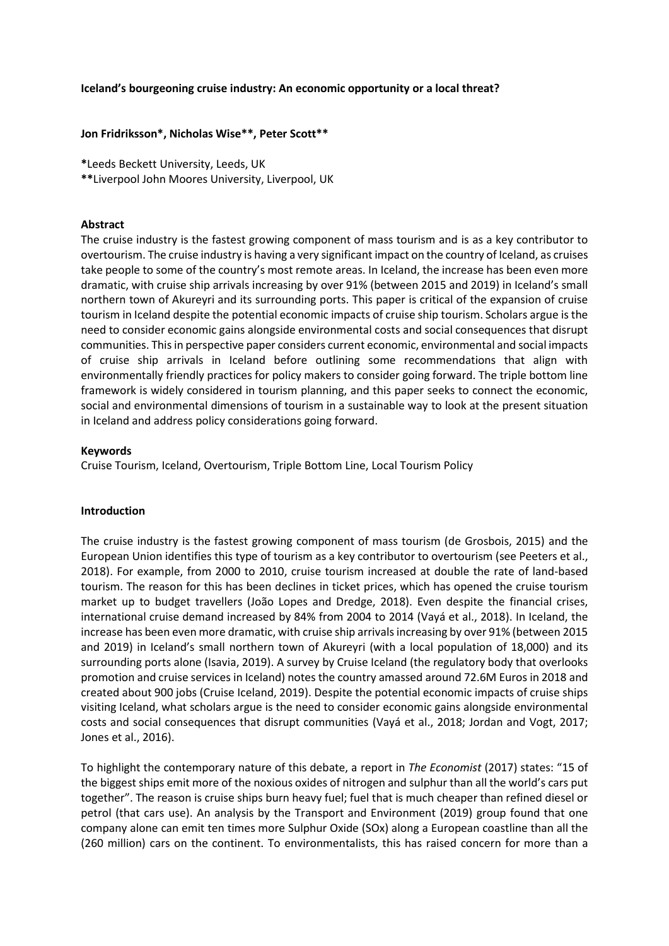#### **Iceland's bourgeoning cruise industry: An economic opportunity or a local threat?**

#### **Jon Fridriksson\*, Nicholas Wise\*\*, Peter Scott\*\***

**\***Leeds Beckett University, Leeds, UK

**\*\***Liverpool John Moores University, Liverpool, UK

#### **Abstract**

The cruise industry is the fastest growing component of mass tourism and is as a key contributor to overtourism. The cruise industry is having a very significant impact on the country of Iceland, as cruises take people to some of the country's most remote areas. In Iceland, the increase has been even more dramatic, with cruise ship arrivals increasing by over 91% (between 2015 and 2019) in Iceland's small northern town of Akureyri and its surrounding ports. This paper is critical of the expansion of cruise tourism in Iceland despite the potential economic impacts of cruise ship tourism. Scholars argue is the need to consider economic gains alongside environmental costs and social consequences that disrupt communities. This in perspective paper considers current economic, environmental and social impacts of cruise ship arrivals in Iceland before outlining some recommendations that align with environmentally friendly practices for policy makers to consider going forward. The triple bottom line framework is widely considered in tourism planning, and this paper seeks to connect the economic, social and environmental dimensions of tourism in a sustainable way to look at the present situation in Iceland and address policy considerations going forward.

#### **Keywords**

Cruise Tourism, Iceland, Overtourism, Triple Bottom Line, Local Tourism Policy

#### **Introduction**

The cruise industry is the fastest growing component of mass tourism (de Grosbois, 2015) and the European Union identifies this type of tourism as a key contributor to overtourism (see Peeters et al., 2018). For example, from 2000 to 2010, cruise tourism increased at double the rate of land-based tourism. The reason for this has been declines in ticket prices, which has opened the cruise tourism market up to budget travellers (João Lopes and Dredge, 2018). Even despite the financial crises, international cruise demand increased by 84% from 2004 to 2014 (Vayá et al., 2018). In Iceland, the increase has been even more dramatic, with cruise ship arrivals increasing by over 91% (between 2015 and 2019) in Iceland's small northern town of Akureyri (with a local population of 18,000) and its surrounding ports alone (Isavia, 2019). A survey by Cruise Iceland (the regulatory body that overlooks promotion and cruise services in Iceland) notes the country amassed around 72.6M Euros in 2018 and created about 900 jobs (Cruise Iceland, 2019). Despite the potential economic impacts of cruise ships visiting Iceland, what scholars argue is the need to consider economic gains alongside environmental costs and social consequences that disrupt communities (Vayá et al., 2018; Jordan and Vogt, 2017; Jones et al., 2016).

To highlight the contemporary nature of this debate, a report in *The Economist* (2017) states: "15 of the biggest ships emit more of the noxious oxides of nitrogen and sulphur than all the world's cars put together". The reason is cruise ships burn heavy fuel; fuel that is much cheaper than refined diesel or petrol (that cars use). An analysis by the Transport and Environment (2019) group found that one company alone can emit ten times more Sulphur Oxide (SOx) along a European coastline than all the (260 million) cars on the continent. To environmentalists, this has raised concern for more than a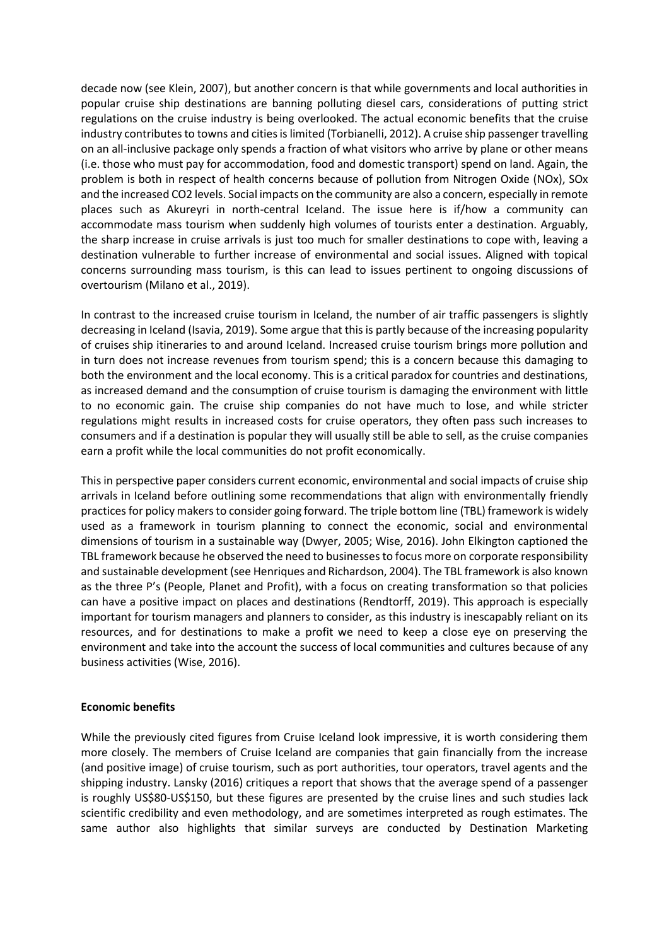decade now (see Klein, 2007), but another concern is that while governments and local authorities in popular cruise ship destinations are banning polluting diesel cars, considerations of putting strict regulations on the cruise industry is being overlooked. The actual economic benefits that the cruise industry contributes to towns and cities islimited (Torbianelli, 2012). A cruise ship passenger travelling on an all-inclusive package only spends a fraction of what visitors who arrive by plane or other means (i.e. those who must pay for accommodation, food and domestic transport) spend on land. Again, the problem is both in respect of health concerns because of pollution from Nitrogen Oxide (NOx), SOx and the increased CO2 levels. Social impacts on the community are also a concern, especially in remote places such as Akureyri in north-central Iceland. The issue here is if/how a community can accommodate mass tourism when suddenly high volumes of tourists enter a destination. Arguably, the sharp increase in cruise arrivals is just too much for smaller destinations to cope with, leaving a destination vulnerable to further increase of environmental and social issues. Aligned with topical concerns surrounding mass tourism, is this can lead to issues pertinent to ongoing discussions of overtourism (Milano et al., 2019).

In contrast to the increased cruise tourism in Iceland, the number of air traffic passengers is slightly decreasing in Iceland (Isavia, 2019). Some argue that this is partly because of the increasing popularity of cruises ship itineraries to and around Iceland. Increased cruise tourism brings more pollution and in turn does not increase revenues from tourism spend; this is a concern because this damaging to both the environment and the local economy. This is a critical paradox for countries and destinations, as increased demand and the consumption of cruise tourism is damaging the environment with little to no economic gain. The cruise ship companies do not have much to lose, and while stricter regulations might results in increased costs for cruise operators, they often pass such increases to consumers and if a destination is popular they will usually still be able to sell, as the cruise companies earn a profit while the local communities do not profit economically.

This in perspective paper considers current economic, environmental and social impacts of cruise ship arrivals in Iceland before outlining some recommendations that align with environmentally friendly practices for policy makers to consider going forward. The triple bottom line (TBL) framework is widely used as a framework in tourism planning to connect the economic, social and environmental dimensions of tourism in a sustainable way (Dwyer, 2005; Wise, 2016). John Elkington captioned the TBL framework because he observed the need to businesses to focus more on corporate responsibility and sustainable development (see Henriques and Richardson, 2004). The TBL framework is also known as the three P's (People, Planet and Profit), with a focus on creating transformation so that policies can have a positive impact on places and destinations (Rendtorff, 2019). This approach is especially important for tourism managers and planners to consider, as this industry is inescapably reliant on its resources, and for destinations to make a profit we need to keep a close eye on preserving the environment and take into the account the success of local communities and cultures because of any business activities (Wise, 2016).

### **Economic benefits**

While the previously cited figures from Cruise Iceland look impressive, it is worth considering them more closely. The members of Cruise Iceland are companies that gain financially from the increase (and positive image) of cruise tourism, such as port authorities, tour operators, travel agents and the shipping industry. Lansky (2016) critiques a report that shows that the average spend of a passenger is roughly US\$80-US\$150, but these figures are presented by the cruise lines and such studies lack scientific credibility and even methodology, and are sometimes interpreted as rough estimates. The same author also highlights that similar surveys are conducted by Destination Marketing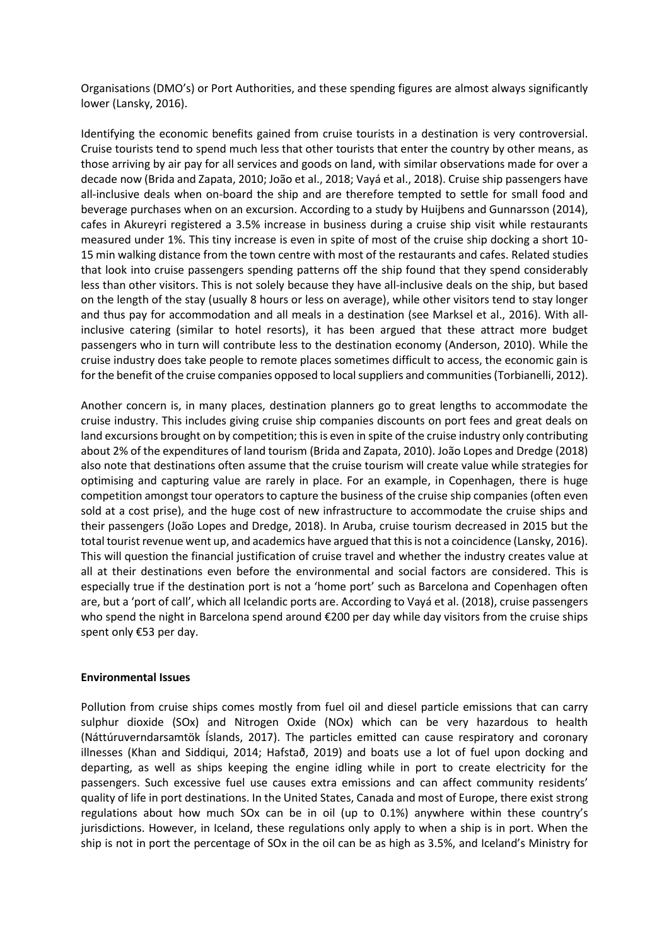Organisations (DMO's) or Port Authorities, and these spending figures are almost always significantly lower (Lansky, 2016).

Identifying the economic benefits gained from cruise tourists in a destination is very controversial. Cruise tourists tend to spend much less that other tourists that enter the country by other means, as those arriving by air pay for all services and goods on land, with similar observations made for over a decade now (Brida and Zapata, 2010; João et al., 2018; Vayá et al., 2018). Cruise ship passengers have all-inclusive deals when on-board the ship and are therefore tempted to settle for small food and beverage purchases when on an excursion. According to a study by Huijbens and Gunnarsson (2014), cafes in Akureyri registered a 3.5% increase in business during a cruise ship visit while restaurants measured under 1%. This tiny increase is even in spite of most of the cruise ship docking a short 10- 15 min walking distance from the town centre with most of the restaurants and cafes. Related studies that look into cruise passengers spending patterns off the ship found that they spend considerably less than other visitors. This is not solely because they have all-inclusive deals on the ship, but based on the length of the stay (usually 8 hours or less on average), while other visitors tend to stay longer and thus pay for accommodation and all meals in a destination (see Marksel et al., 2016). With allinclusive catering (similar to hotel resorts), it has been argued that these attract more budget passengers who in turn will contribute less to the destination economy (Anderson, 2010). While the cruise industry does take people to remote places sometimes difficult to access, the economic gain is for the benefit of the cruise companies opposed to local suppliers and communities (Torbianelli, 2012).

Another concern is, in many places, destination planners go to great lengths to accommodate the cruise industry. This includes giving cruise ship companies discounts on port fees and great deals on land excursions brought on by competition; this is even in spite of the cruise industry only contributing about 2% of the expenditures of land tourism (Brida and Zapata, 2010). João Lopes and Dredge (2018) also note that destinations often assume that the cruise tourism will create value while strategies for optimising and capturing value are rarely in place. For an example, in Copenhagen, there is huge competition amongst tour operators to capture the business of the cruise ship companies (often even sold at a cost prise), and the huge cost of new infrastructure to accommodate the cruise ships and their passengers (João Lopes and Dredge, 2018). In Aruba, cruise tourism decreased in 2015 but the total tourist revenue went up, and academics have argued that this is not a coincidence (Lansky, 2016). This will question the financial justification of cruise travel and whether the industry creates value at all at their destinations even before the environmental and social factors are considered. This is especially true if the destination port is not a 'home port' such as Barcelona and Copenhagen often are, but a 'port of call', which all Icelandic ports are. According to Vayá et al. (2018), cruise passengers who spend the night in Barcelona spend around €200 per day while day visitors from the cruise ships spent only €53 per day.

### **Environmental Issues**

Pollution from cruise ships comes mostly from fuel oil and diesel particle emissions that can carry sulphur dioxide (SOx) and Nitrogen Oxide (NOx) which can be very hazardous to health (Náttúruverndarsamtök Íslands, 2017). The particles emitted can cause respiratory and coronary illnesses (Khan and Siddiqui, 2014; Hafstað, 2019) and boats use a lot of fuel upon docking and departing, as well as ships keeping the engine idling while in port to create electricity for the passengers. Such excessive fuel use causes extra emissions and can affect community residents' quality of life in port destinations. In the United States, Canada and most of Europe, there exist strong regulations about how much SOx can be in oil (up to 0.1%) anywhere within these country's jurisdictions. However, in Iceland, these regulations only apply to when a ship is in port. When the ship is not in port the percentage of SOx in the oil can be as high as 3.5%, and Iceland's Ministry for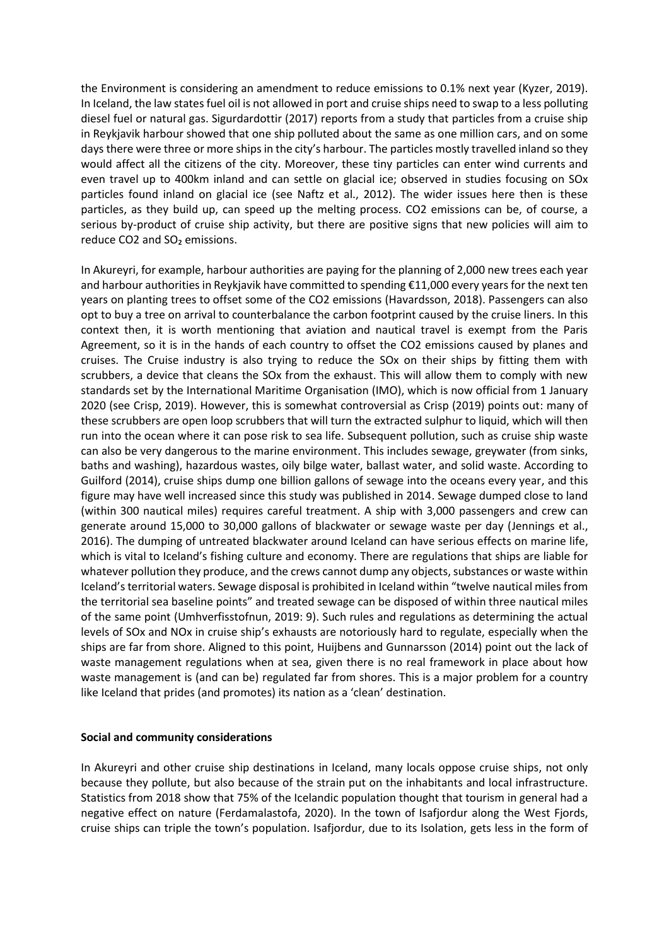the Environment is considering an amendment to reduce emissions to 0.1% next year (Kyzer, 2019). In Iceland, the law states fuel oil is not allowed in port and cruise ships need to swap to a less polluting diesel fuel or natural gas. Sigurdardottir (2017) reports from a study that particles from a cruise ship in Reykjavik harbour showed that one ship polluted about the same as one million cars, and on some days there were three or more ships in the city's harbour. The particles mostly travelled inland so they would affect all the citizens of the city. Moreover, these tiny particles can enter wind currents and even travel up to 400km inland and can settle on glacial ice; observed in studies focusing on SOx particles found inland on glacial ice (see Naftz et al., 2012). The wider issues here then is these particles, as they build up, can speed up the melting process. CO2 emissions can be, of course, a serious by-product of cruise ship activity, but there are positive signs that new policies will aim to reduce CO2 and SO<sub>2</sub> emissions.

In Akureyri, for example, harbour authorities are paying for the planning of 2,000 new trees each year and harbour authorities in Reykjavik have committed to spending €11,000 every years for the next ten years on planting trees to offset some of the CO2 emissions (Havardsson, 2018). Passengers can also opt to buy a tree on arrival to counterbalance the carbon footprint caused by the cruise liners. In this context then, it is worth mentioning that aviation and nautical travel is exempt from the Paris Agreement, so it is in the hands of each country to offset the CO2 emissions caused by planes and cruises. The Cruise industry is also trying to reduce the SOx on their ships by fitting them with scrubbers, a device that cleans the SOx from the exhaust. This will allow them to comply with new standards set by the International Maritime Organisation (IMO), which is now official from 1 January 2020 (see Crisp, 2019). However, this is somewhat controversial as Crisp (2019) points out: many of these scrubbers are open loop scrubbers that will turn the extracted sulphur to liquid, which will then run into the ocean where it can pose risk to sea life. Subsequent pollution, such as cruise ship waste can also be very dangerous to the marine environment. This includes sewage, greywater (from sinks, baths and washing), hazardous wastes, oily bilge water, ballast water, and solid waste. According to Guilford (2014), cruise ships dump one billion gallons of sewage into the oceans every year, and this figure may have well increased since this study was published in 2014. Sewage dumped close to land (within 300 nautical miles) requires careful treatment. A ship with 3,000 passengers and crew can generate around 15,000 to 30,000 gallons of blackwater or sewage waste per day (Jennings et al., 2016). The dumping of untreated blackwater around Iceland can have serious effects on marine life, which is vital to Iceland's fishing culture and economy. There are regulations that ships are liable for whatever pollution they produce, and the crews cannot dump any objects, substances or waste within Iceland's territorial waters. Sewage disposal is prohibited in Iceland within "twelve nautical miles from the territorial sea baseline points" and treated sewage can be disposed of within three nautical miles of the same point (Umhverfisstofnun, 2019: 9). Such rules and regulations as determining the actual levels of SOx and NOx in cruise ship's exhausts are notoriously hard to regulate, especially when the ships are far from shore. Aligned to this point, Huijbens and Gunnarsson (2014) point out the lack of waste management regulations when at sea, given there is no real framework in place about how waste management is (and can be) regulated far from shores. This is a major problem for a country like Iceland that prides (and promotes) its nation as a 'clean' destination.

### **Social and community considerations**

In Akureyri and other cruise ship destinations in Iceland, many locals oppose cruise ships, not only because they pollute, but also because of the strain put on the inhabitants and local infrastructure. Statistics from 2018 show that 75% of the Icelandic population thought that tourism in general had a negative effect on nature (Ferdamalastofa, 2020). In the town of Isafjordur along the West Fjords, cruise ships can triple the town's population. Isafjordur, due to its Isolation, gets less in the form of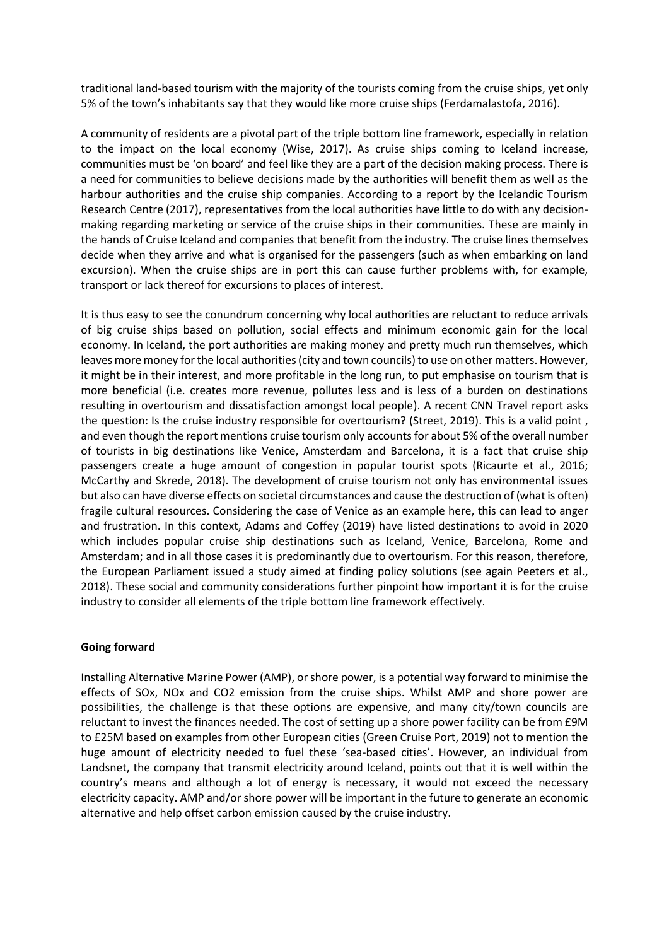traditional land-based tourism with the majority of the tourists coming from the cruise ships, yet only 5% of the town's inhabitants say that they would like more cruise ships (Ferdamalastofa, 2016).

A community of residents are a pivotal part of the triple bottom line framework, especially in relation to the impact on the local economy (Wise, 2017). As cruise ships coming to Iceland increase, communities must be 'on board' and feel like they are a part of the decision making process. There is a need for communities to believe decisions made by the authorities will benefit them as well as the harbour authorities and the cruise ship companies. According to a report by the Icelandic Tourism Research Centre (2017), representatives from the local authorities have little to do with any decisionmaking regarding marketing or service of the cruise ships in their communities. These are mainly in the hands of Cruise Iceland and companies that benefit from the industry. The cruise lines themselves decide when they arrive and what is organised for the passengers (such as when embarking on land excursion). When the cruise ships are in port this can cause further problems with, for example, transport or lack thereof for excursions to places of interest.

It is thus easy to see the conundrum concerning why local authorities are reluctant to reduce arrivals of big cruise ships based on pollution, social effects and minimum economic gain for the local economy. In Iceland, the port authorities are making money and pretty much run themselves, which leaves more money for the local authorities (city and town councils) to use on other matters. However, it might be in their interest, and more profitable in the long run, to put emphasise on tourism that is more beneficial (i.e. creates more revenue, pollutes less and is less of a burden on destinations resulting in overtourism and dissatisfaction amongst local people). A recent CNN Travel report asks the question: Is the cruise industry responsible for overtourism? (Street, 2019). This is a valid point , and even though the report mentions cruise tourism only accounts for about 5% of the overall number of tourists in big destinations like Venice, Amsterdam and Barcelona, it is a fact that cruise ship passengers create a huge amount of congestion in popular tourist spots (Ricaurte et al., 2016; McCarthy and Skrede, 2018). The development of cruise tourism not only has environmental issues but also can have diverse effects on societal circumstances and cause the destruction of (what is often) fragile cultural resources. Considering the case of Venice as an example here, this can lead to anger and frustration. In this context, Adams and Coffey (2019) have listed destinations to avoid in 2020 which includes popular cruise ship destinations such as Iceland, Venice, Barcelona, Rome and Amsterdam; and in all those cases it is predominantly due to overtourism. For this reason, therefore, the European Parliament issued a study aimed at finding policy solutions (see again Peeters et al., 2018). These social and community considerations further pinpoint how important it is for the cruise industry to consider all elements of the triple bottom line framework effectively.

### **Going forward**

Installing Alternative Marine Power (AMP), or shore power, is a potential way forward to minimise the effects of SOx, NOx and CO2 emission from the cruise ships. Whilst AMP and shore power are possibilities, the challenge is that these options are expensive, and many city/town councils are reluctant to invest the finances needed. The cost of setting up a shore power facility can be from £9M to £25M based on examples from other European cities (Green Cruise Port, 2019) not to mention the huge amount of electricity needed to fuel these 'sea-based cities'. However, an individual from Landsnet, the company that transmit electricity around Iceland, points out that it is well within the country's means and although a lot of energy is necessary, it would not exceed the necessary electricity capacity. AMP and/or shore power will be important in the future to generate an economic alternative and help offset carbon emission caused by the cruise industry.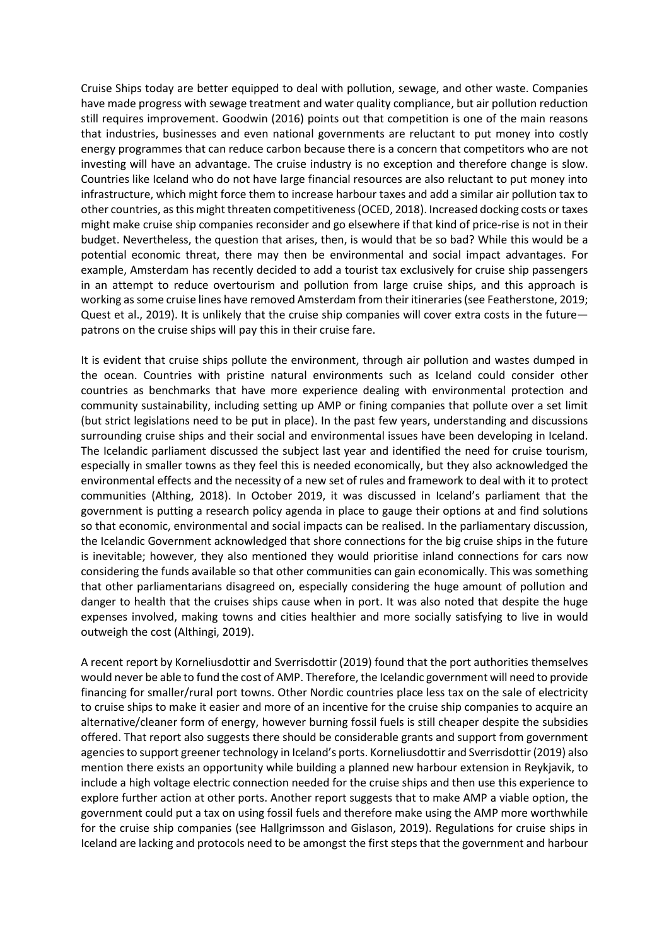Cruise Ships today are better equipped to deal with pollution, sewage, and other waste. Companies have made progress with sewage treatment and water quality compliance, but air pollution reduction still requires improvement. Goodwin (2016) points out that competition is one of the main reasons that industries, businesses and even national governments are reluctant to put money into costly energy programmes that can reduce carbon because there is a concern that competitors who are not investing will have an advantage. The cruise industry is no exception and therefore change is slow. Countries like Iceland who do not have large financial resources are also reluctant to put money into infrastructure, which might force them to increase harbour taxes and add a similar air pollution tax to other countries, as this might threaten competitiveness(OCED, 2018). Increased docking costs or taxes might make cruise ship companies reconsider and go elsewhere if that kind of price-rise is not in their budget. Nevertheless, the question that arises, then, is would that be so bad? While this would be a potential economic threat, there may then be environmental and social impact advantages. For example, Amsterdam has recently decided to add a tourist tax exclusively for cruise ship passengers in an attempt to reduce overtourism and pollution from large cruise ships, and this approach is working as some cruise lines have removed Amsterdam from their itineraries (see Featherstone, 2019; Quest et al., 2019). It is unlikely that the cruise ship companies will cover extra costs in the future patrons on the cruise ships will pay this in their cruise fare.

It is evident that cruise ships pollute the environment, through air pollution and wastes dumped in the ocean. Countries with pristine natural environments such as Iceland could consider other countries as benchmarks that have more experience dealing with environmental protection and community sustainability, including setting up AMP or fining companies that pollute over a set limit (but strict legislations need to be put in place). In the past few years, understanding and discussions surrounding cruise ships and their social and environmental issues have been developing in Iceland. The Icelandic parliament discussed the subject last year and identified the need for cruise tourism, especially in smaller towns as they feel this is needed economically, but they also acknowledged the environmental effects and the necessity of a new set of rules and framework to deal with it to protect communities (Althing, 2018). In October 2019, it was discussed in Iceland's parliament that the government is putting a research policy agenda in place to gauge their options at and find solutions so that economic, environmental and social impacts can be realised. In the parliamentary discussion, the Icelandic Government acknowledged that shore connections for the big cruise ships in the future is inevitable; however, they also mentioned they would prioritise inland connections for cars now considering the funds available so that other communities can gain economically. This was something that other parliamentarians disagreed on, especially considering the huge amount of pollution and danger to health that the cruises ships cause when in port. It was also noted that despite the huge expenses involved, making towns and cities healthier and more socially satisfying to live in would outweigh the cost (Althingi, 2019).

A recent report by Korneliusdottir and Sverrisdottir (2019) found that the port authorities themselves would never be able to fund the cost of AMP. Therefore, the Icelandic government will need to provide financing for smaller/rural port towns. Other Nordic countries place less tax on the sale of electricity to cruise ships to make it easier and more of an incentive for the cruise ship companies to acquire an alternative/cleaner form of energy, however burning fossil fuels is still cheaper despite the subsidies offered. That report also suggests there should be considerable grants and support from government agenciesto support greener technology in Iceland's ports. Korneliusdottir and Sverrisdottir (2019) also mention there exists an opportunity while building a planned new harbour extension in Reykjavik, to include a high voltage electric connection needed for the cruise ships and then use this experience to explore further action at other ports. Another report suggests that to make AMP a viable option, the government could put a tax on using fossil fuels and therefore make using the AMP more worthwhile for the cruise ship companies (see Hallgrimsson and Gislason, 2019). Regulations for cruise ships in Iceland are lacking and protocols need to be amongst the first steps that the government and harbour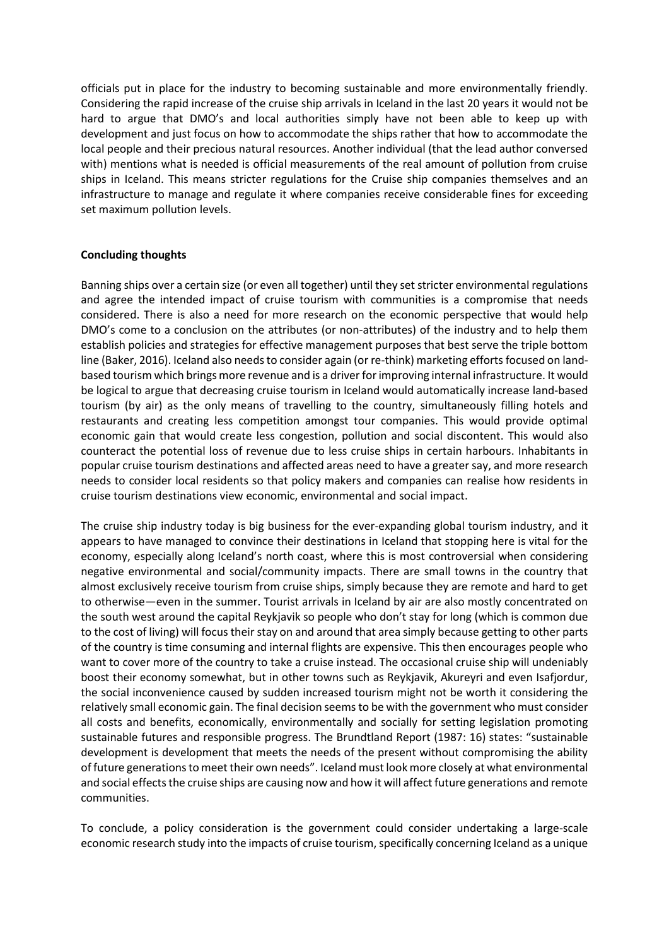officials put in place for the industry to becoming sustainable and more environmentally friendly. Considering the rapid increase of the cruise ship arrivals in Iceland in the last 20 years it would not be hard to argue that DMO's and local authorities simply have not been able to keep up with development and just focus on how to accommodate the ships rather that how to accommodate the local people and their precious natural resources. Another individual (that the lead author conversed with) mentions what is needed is official measurements of the real amount of pollution from cruise ships in Iceland. This means stricter regulations for the Cruise ship companies themselves and an infrastructure to manage and regulate it where companies receive considerable fines for exceeding set maximum pollution levels.

### **Concluding thoughts**

Banning ships over a certain size (or even all together) until they set stricter environmental regulations and agree the intended impact of cruise tourism with communities is a compromise that needs considered. There is also a need for more research on the economic perspective that would help DMO's come to a conclusion on the attributes (or non-attributes) of the industry and to help them establish policies and strategies for effective management purposes that best serve the triple bottom line (Baker, 2016). Iceland also needs to consider again (or re-think) marketing efforts focused on landbased tourism which brings more revenue and is a driver forimproving internal infrastructure. It would be logical to argue that decreasing cruise tourism in Iceland would automatically increase land-based tourism (by air) as the only means of travelling to the country, simultaneously filling hotels and restaurants and creating less competition amongst tour companies. This would provide optimal economic gain that would create less congestion, pollution and social discontent. This would also counteract the potential loss of revenue due to less cruise ships in certain harbours. Inhabitants in popular cruise tourism destinations and affected areas need to have a greater say, and more research needs to consider local residents so that policy makers and companies can realise how residents in cruise tourism destinations view economic, environmental and social impact.

The cruise ship industry today is big business for the ever-expanding global tourism industry, and it appears to have managed to convince their destinations in Iceland that stopping here is vital for the economy, especially along Iceland's north coast, where this is most controversial when considering negative environmental and social/community impacts. There are small towns in the country that almost exclusively receive tourism from cruise ships, simply because they are remote and hard to get to otherwise—even in the summer. Tourist arrivals in Iceland by air are also mostly concentrated on the south west around the capital Reykjavik so people who don't stay for long (which is common due to the cost of living) will focus their stay on and around that area simply because getting to other parts of the country is time consuming and internal flights are expensive. This then encourages people who want to cover more of the country to take a cruise instead. The occasional cruise ship will undeniably boost their economy somewhat, but in other towns such as Reykjavik, Akureyri and even Isafjordur, the social inconvenience caused by sudden increased tourism might not be worth it considering the relatively small economic gain. The final decision seems to be with the government who must consider all costs and benefits, economically, environmentally and socially for setting legislation promoting sustainable futures and responsible progress. The Brundtland Report (1987: 16) states: "sustainable development is development that meets the needs of the present without compromising the ability of future generations to meet their own needs". Iceland must look more closely at what environmental and social effects the cruise ships are causing now and how it will affect future generations and remote communities.

To conclude, a policy consideration is the government could consider undertaking a large-scale economic research study into the impacts of cruise tourism, specifically concerning Iceland as a unique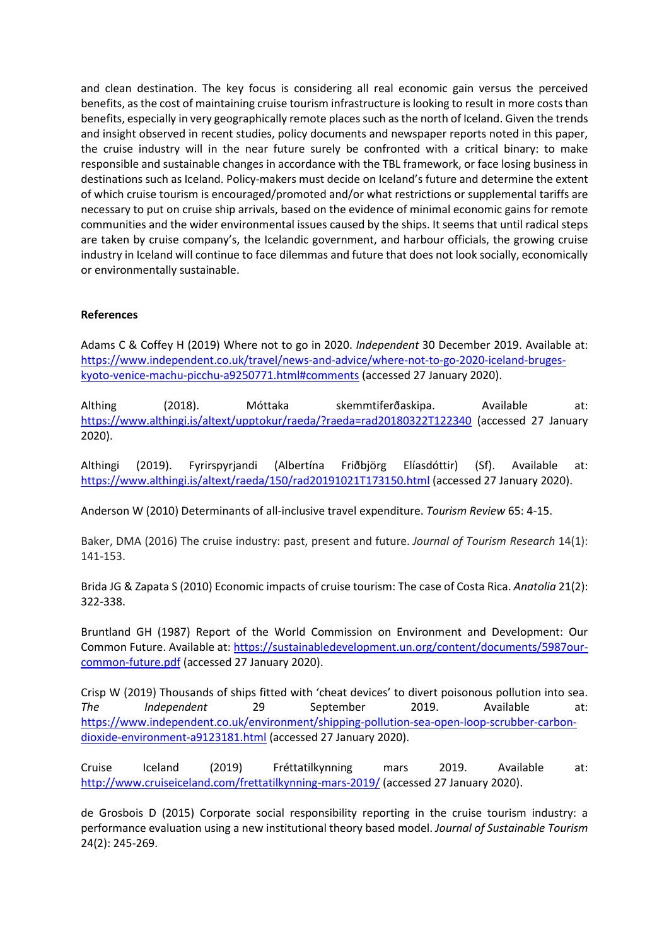and clean destination. The key focus is considering all real economic gain versus the perceived benefits, as the cost of maintaining cruise tourism infrastructure is looking to result in more costs than benefits, especially in very geographically remote places such as the north of Iceland. Given the trends and insight observed in recent studies, policy documents and newspaper reports noted in this paper, the cruise industry will in the near future surely be confronted with a critical binary: to make responsible and sustainable changes in accordance with the TBL framework, or face losing business in destinations such as Iceland. Policy-makers must decide on Iceland's future and determine the extent of which cruise tourism is encouraged/promoted and/or what restrictions or supplemental tariffs are necessary to put on cruise ship arrivals, based on the evidence of minimal economic gains for remote communities and the wider environmental issues caused by the ships. It seems that until radical steps are taken by cruise company's, the Icelandic government, and harbour officials, the growing cruise industry in Iceland will continue to face dilemmas and future that does not look socially, economically or environmentally sustainable.

## **References**

Adams C & Coffey H (2019) Where not to go in 2020. *Independent* 30 December 2019. Available at: [https://www.independent.co.uk/travel/news-and-advice/where-not-to-go-2020-iceland-bruges](about:blank#comments)[kyoto-venice-machu-picchu-a9250771.html#comments](about:blank#comments) (accessed 27 January 2020).

Althing (2018). Móttaka skemmtiferðaskipa. Available at: [https://www.althingi.is/altext/upptokur/raeda/?raeda=rad20180322T122340](about:blank) (accessed 27 January 2020).

Althingi (2019). Fyrirspyrjandi (Albertína Friðbjörg Elíasdóttir) (Sf). Available at: [https://www.althingi.is/altext/raeda/150/rad20191021T173150.html](about:blank) (accessed 27 January 2020).

Anderson W (2010) Determinants of all-inclusive travel expenditure. *Tourism Review* 65: 4-15.

Baker, DMA (2016) The cruise industry: past, present and future. *Journal of Tourism Research* 14(1): 141-153.

Brida JG & Zapata S (2010) Economic impacts of cruise tourism: The case of Costa Rica. *Anatolia* 21(2): 322-338.

Bruntland GH (1987) Report of the World Commission on Environment and Development: Our Common Future. Available at: [https://sustainabledevelopment.un.org/content/documents/5987our](about:blank)[common-future.pdf](about:blank) (accessed 27 January 2020).

Crisp W (2019) Thousands of ships fitted with 'cheat devices' to divert poisonous pollution into sea. *The Independent* 29 September 2019. Available at: [https://www.independent.co.uk/environment/shipping-pollution-sea-open-loop-scrubber-carbon](about:blank)[dioxide-environment-a9123181.html](about:blank) (accessed 27 January 2020).

Cruise Iceland (2019) Fréttatilkynning mars 2019. Available at: [http://www.cruiseiceland.com/frettatilkynning-mars-2019/](about:blank) (accessed 27 January 2020).

de Grosbois D (2015) Corporate social responsibility reporting in the cruise tourism industry: a performance evaluation using a new institutional theory based model. *Journal of Sustainable Tourism* 24(2): 245-269.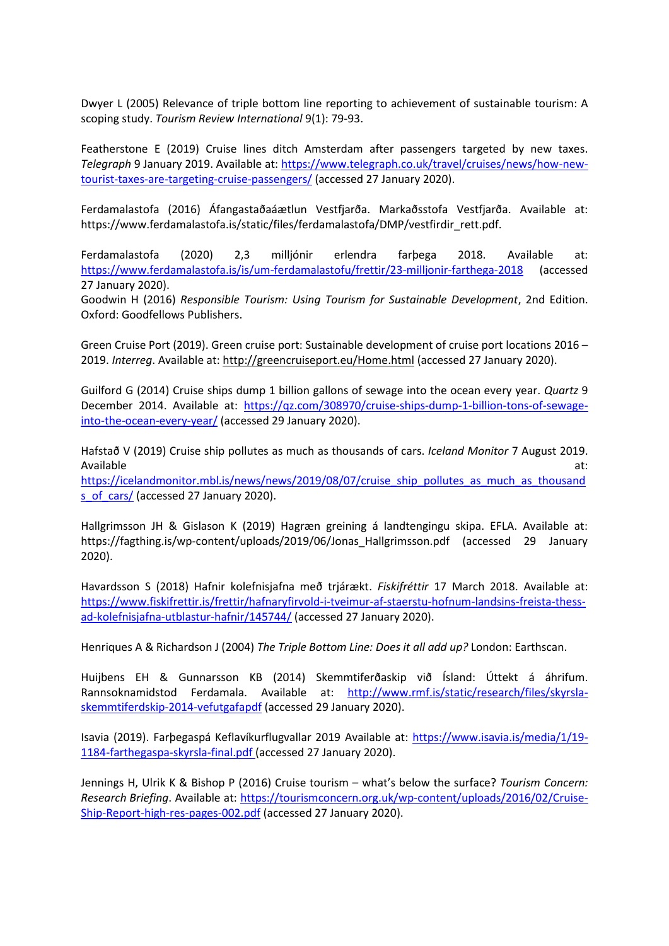Dwyer L (2005) Relevance of triple bottom line reporting to achievement of sustainable tourism: A scoping study. *Tourism Review International* 9(1): 79-93.

Featherstone E (2019) Cruise lines ditch Amsterdam after passengers targeted by new taxes. *Telegraph* 9 January 2019. Available at: [https://www.telegraph.co.uk/travel/cruises/news/how-new](about:blank)[tourist-taxes-are-targeting-cruise-passengers/](about:blank) (accessed 27 January 2020).

Ferdamalastofa (2016) Áfangastaðaáætlun Vestfjarða. Markaðsstofa Vestfjarða. Available at: https://www.ferdamalastofa.is/static/files/ferdamalastofa/DMP/vestfirdir\_rett.pdf.

Ferdamalastofa (2020) 2,3 milljónir erlendra farþega 2018. Available at: [https://www.ferdamalastofa.is/is/um-ferdamalastofu/frettir/23-milljonir-farthega-2018](about:blank) (accessed 27 January 2020).

Goodwin H (2016) *Responsible Tourism: Using Tourism for Sustainable Development*, 2nd Edition. Oxford: Goodfellows Publishers.

Green Cruise Port (2019). Green cruise port: Sustainable development of cruise port locations 2016 – 2019. *Interreg*. Available at: [http://greencruiseport.eu/Home.html](about:blank) (accessed 27 January 2020).

Guilford G (2014) Cruise ships dump 1 billion gallons of sewage into the ocean every year. *Quartz* 9 December 2014. Available at: [https://qz.com/308970/cruise-ships-dump-1-billion-tons-of-sewage](about:blank)[into-the-ocean-every-year/](about:blank) (accessed 29 January 2020).

Hafstað V (2019) Cruise ship pollutes as much as thousands of cars. *Iceland Monitor* 7 August 2019. Available at:

[https://icelandmonitor.mbl.is/news/news/2019/08/07/cruise\\_ship\\_pollutes\\_as\\_much\\_as\\_thousand](about:blank) [s\\_of\\_cars/](about:blank) (accessed 27 January 2020).

Hallgrimsson JH & Gislason K (2019) Hagræn greining á landtengingu skipa. EFLA. Available at: https://fagthing.is/wp-content/uploads/2019/06/Jonas\_Hallgrimsson.pdf (accessed 29 January 2020).

Havardsson S (2018) Hafnir kolefnisjafna með trjárækt. *Fiskifréttir* 17 March 2018. Available at: [https://www.fiskifrettir.is/frettir/hafnaryfirvold-i-tveimur-af-staerstu-hofnum-landsins-freista-thess](about:blank)[ad-kolefnisjafna-utblastur-hafnir/145744/](about:blank) (accessed 27 January 2020).

Henriques A & Richardson J (2004) *The Triple Bottom Line: Does it all add up?* London: Earthscan.

Huijbens EH & Gunnarsson KB (2014) Skemmtiferðaskip við Ísland: Úttekt á áhrifum. Rannsoknamidstod Ferdamala. Available at: [http://www.rmf.is/static/research/files/skyrsla](about:blank)[skemmtiferdskip-2014-vefutgafapdf](about:blank) (accessed 29 January 2020).

Isavia (2019). Farþegaspá Keflavíkurflugvallar 2019 Available at: [https://www.isavia.is/media/1/19-](about:blank) [1184-farthegaspa-skyrsla-final.pdf](about:blank) (accessed 27 January 2020).

Jennings H, Ulrik K & Bishop P (2016) Cruise tourism – what's below the surface? *Tourism Concern: Research Briefing*. Available at: https://tourismconcern.org.uk/wp-content/uploads/2016/02/Cruise-Ship-Report-high-res-pages-002.pdf (accessed 27 January 2020).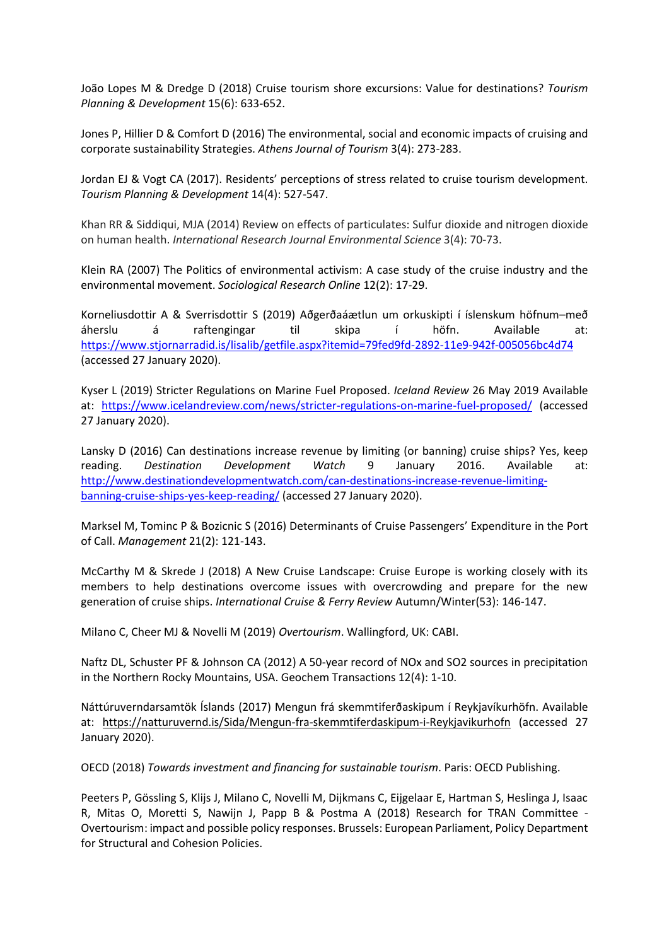João Lopes M & Dredge D (2018) Cruise tourism shore excursions: Value for destinations? *Tourism Planning & Development* 15(6): 633-652.

Jones P, Hillier D & Comfort D (2016) The environmental, social and economic impacts of cruising and corporate sustainability Strategies. *Athens Journal of Tourism* 3(4): 273-283.

Jordan EJ & Vogt CA (2017). Residents' perceptions of stress related to cruise tourism development. *Tourism Planning & Development* 14(4): 527-547.

Khan RR & Siddiqui, MJA (2014) Review on effects of particulates: Sulfur dioxide and nitrogen dioxide on human health. *International Research Journal Environmental Science* 3(4): 70-73.

Klein RA (2007) The Politics of environmental activism: A case study of the cruise industry and the environmental movement. *Sociological Research Online* 12(2): 17-29.

Korneliusdottir A & Sverrisdottir S (2019) Aðgerðaáætlun um orkuskipti í íslenskum höfnum–með áherslu á raftengingar til skipa í höfn. Available at: [https://www.stjornarradid.is/lisalib/getfile.aspx?itemid=79fed9fd-2892-11e9-942f-005056bc4d74](about:blank) (accessed 27 January 2020).

Kyser L (2019) Stricter Regulations on Marine Fuel Proposed. *Iceland Review* 26 May 2019 Available at: [https://www.icelandreview.com/news/stricter-regulations-on-marine-fuel-proposed/](about:blank) (accessed 27 January 2020).

Lansky D (2016) Can destinations increase revenue by limiting (or banning) cruise ships? Yes, keep reading. *Destination Development Watch* 9 January 2016. Available at: [http://www.destinationdevelopmentwatch.com/can-destinations-increase-revenue-limiting](about:blank)[banning-cruise-ships-yes-keep-reading/](about:blank) (accessed 27 January 2020).

Marksel M, Tominc P & Bozicnic S (2016) Determinants of Cruise Passengers' Expenditure in the Port of Call. *Management* 21(2): 121-143.

McCarthy M & Skrede J (2018) A New Cruise Landscape: Cruise Europe is working closely with its members to help destinations overcome issues with overcrowding and prepare for the new generation of cruise ships. *International Cruise & Ferry Review* Autumn/Winter(53): 146-147.

Milano C, Cheer MJ & Novelli M (2019) *Overtourism*. Wallingford, UK: CABI.

Naftz DL, Schuster PF & Johnson CA (2012) A 50-year record of NOx and SO2 sources in precipitation in the Northern Rocky Mountains, USA. Geochem Transactions 12(4): 1-10.

Náttúruverndarsamtök Íslands (2017) Mengun frá skemmtiferðaskipum í Reykjavíkurhöfn. Available at: [https://natturuvernd.is/Sida/Mengun-fra-skemmtiferdaskipum-i-Reykjavikurhofn](about:blank) (accessed 27 January 2020).

OECD (2018) *Towards investment and financing for sustainable tourism*. Paris: OECD Publishing.

Peeters P, Gössling S, Klijs J, Milano C, Novelli M, Dijkmans C, Eijgelaar E, Hartman S, Heslinga J, Isaac R, Mitas O, Moretti S, Nawijn J, Papp B & Postma A (2018) Research for TRAN Committee - Overtourism: impact and possible policy responses. Brussels: European Parliament, Policy Department for Structural and Cohesion Policies.